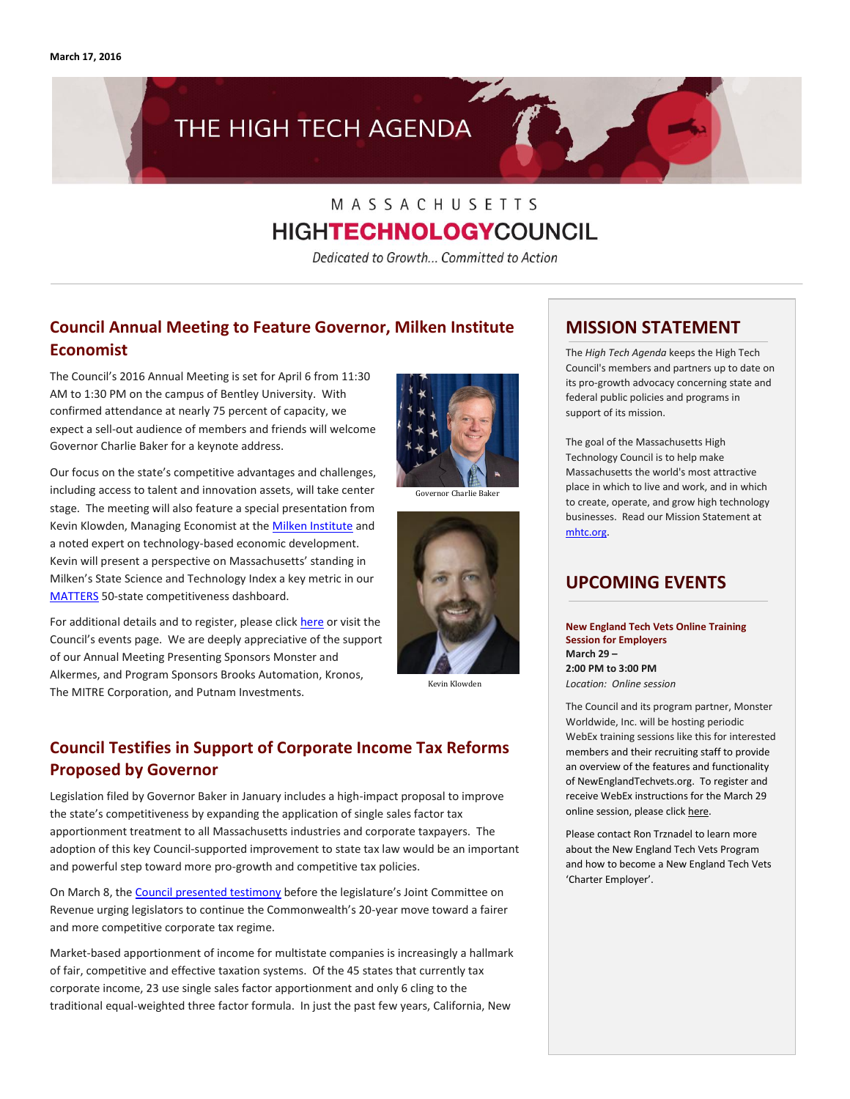

# MASSACHUSETTS **HIGHTECHNOLOGYCOUNCIL**

Dedicated to Growth... Committed to Action

# **Council Annual Meeting to Feature Governor, Milken Institute Economist**

The Council's 2016 Annual Meeting is set for April 6 from 11:30 AM to 1:30 PM on the campus of Bentley University. With confirmed attendance at nearly 75 percent of capacity, we expect a sell-out audience of members and friends will welcome Governor Charlie Baker for a keynote address.

Our focus on the state's competitive advantages and challenges, including access to talent and innovation assets, will take center stage. The meeting will also feature a special presentation from Kevin Klowden, Managing Economist at the **Milken Institute** and a noted expert on technology-based economic development. Kevin will present a perspective on Massachusetts' standing in Milken's State Science and Technology Index a key metric in our [MATTERS](http://matters.mhtc.org/) 50-state competitiveness dashboard.

For additional details and to register, please clic[k here](https://www.eventbrite.com/e/massachusetts-high-technology-council-2016-annual-meeting-tickets-20793540038) or visit the Council's events page. We are deeply appreciative of the support of our Annual Meeting Presenting Sponsors Monster and Alkermes, and Program Sponsors Brooks Automation, Kronos, The MITRE Corporation, and Putnam Investments.



Governor Charlie Baker



Kevin Klowden

# **Council Testifies in Support of Corporate Income Tax Reforms Proposed by Governor**

Legislation filed by Governor Baker in January includes a high-impact proposal to improve the state's competitiveness by expanding the application of single sales factor tax apportionment treatment to all Massachusetts industries and corporate taxpayers. The adoption of this key Council-supported improvement to state tax law would be an important and powerful step toward more pro-growth and competitive tax policies.

On March 8, th[e Council presented testimony](http://www.mhtc.org/wp-content/uploads/2016/03/MHTC_Testimony_SSF-Apportionment-3.8.16-FINAL-PDF.pdf) before the legislature's Joint Committee on Revenue urging legislators to continue the Commonwealth's 20-year move toward a fairer and more competitive corporate tax regime.

Market-based apportionment of income for multistate companies is increasingly a hallmark of fair, competitive and effective taxation systems. Of the 45 states that currently tax corporate income, 23 use single sales factor apportionment and only 6 cling to the traditional equal-weighted three factor formula. In just the past few years, California, New

# **MISSION STATEMENT**

The *High Tech Agenda* keeps the High Tech Council's members and partners up to date on its pro-growth advocacy concerning state and federal public policies and programs in support of its mission.

The goal of the Massachusetts High Technology Council is to help make Massachusetts the world's most attractive place in which to live and work, and in which to create, operate, and grow high technology businesses. Read our Mission Statement at [mhtc.org.](http://www.mhtc.org/)

# **UPCOMING EVENTS**

**New England Tech Vets Online Training Session for Employers March 29 – 2:00 PM to 3:00 PM** *Location: Online session*

The Council and its program partner, Monster Worldwide, Inc. will be hosting periodic WebEx training sessions like this for interested members and their recruiting staff to provide an overview of the features and functionality of NewEnglandTechvets.org. To register and receive WebEx instructions for the March 29 online session, please clic[k here.](http://mhtc-events-netv-online-training-03292016.eventbrite.com/)

Please contact Ron Trznadel to learn more about the New England Tech Vets Program and how to become a New England Tech Vets 'Charter Employer'.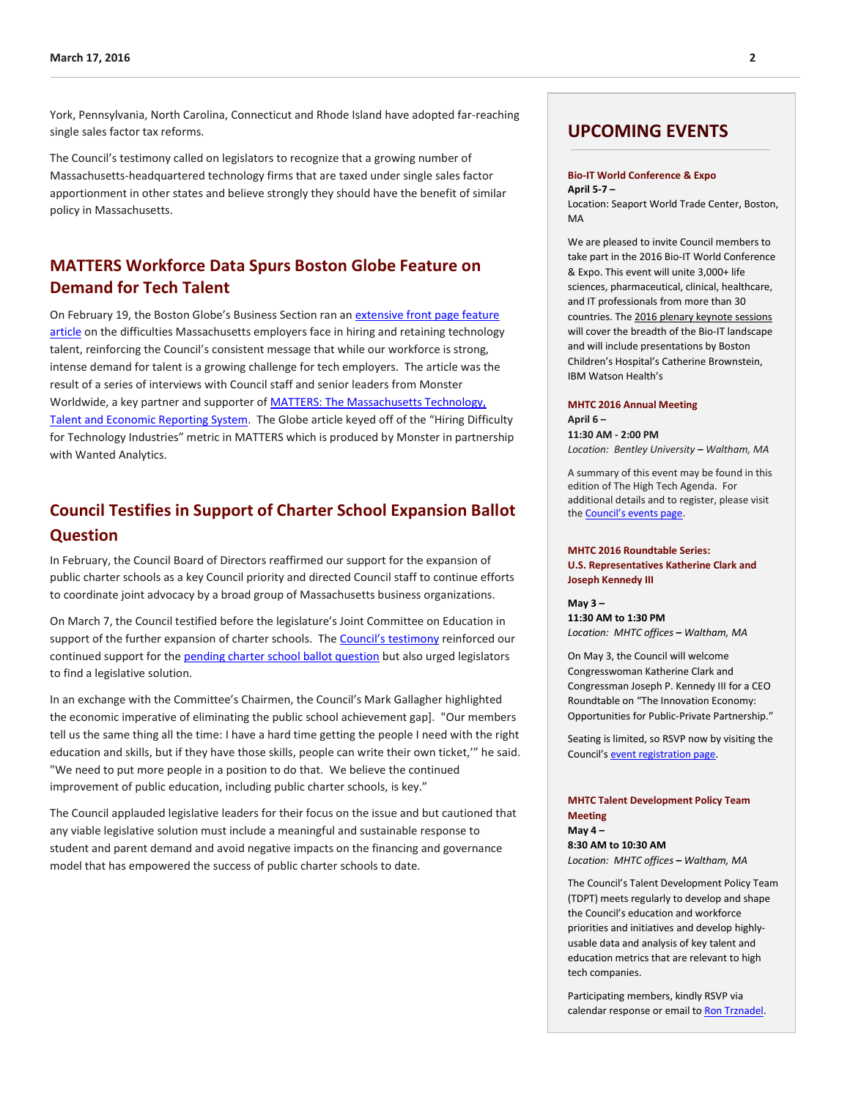York, Pennsylvania, North Carolina, Connecticut and Rhode Island have adopted far-reaching single sales factor tax reforms.

The Council's testimony called on legislators to recognize that a growing number of Massachusetts-headquartered technology firms that are taxed under single sales factor apportionment in other states and believe strongly they should have the benefit of similar policy in Massachusetts.

# **MATTERS Workforce Data Spurs Boston Globe Feature on Demand for Tech Talent**

On February 19, the Boston Globe's Business Section ran an extensive front page feature [article](http://www.mhtc.org/the-war-for-tech-talent-escalates/) on the difficulties Massachusetts employers face in hiring and retaining technology talent, reinforcing the Council's consistent message that while our workforce is strong, intense demand for talent is a growing challenge for tech employers. The article was the result of a series of interviews with Council staff and senior leaders from Monster Worldwide, a key partner and supporter of [MATTERS: The Massachusetts Technology,](http://matters.mhtc.org/)  [Talent and Economic Reporting System.](http://matters.mhtc.org/) The Globe article keyed off of the "Hiring Difficulty for Technology Industries" metric in MATTERS which is produced by Monster in partnership with Wanted Analytics.

# **Council Testifies in Support of Charter School Expansion Ballot Question**

In February, the Council Board of Directors reaffirmed our support for the expansion of public charter schools as a key Council priority and directed Council staff to continue efforts to coordinate joint advocacy by a broad group of Massachusetts business organizations.

On March 7, the Council testified before the legislature's Joint Committee on Education in support of the further expansion of charter schools. The Counc[il's testimony](http://www.mhtc.org/wp-content/uploads/2016/03/MHTC_Testimony_Charter-School-Ballot-Question-3.7.16-FINAL-PDF.pdf) reinforced our continued support for the **pending charter school ballot question** but also urged legislators to find a legislative solution.

In an exchange with the Committee's Chairmen, the Council's Mark Gallagher highlighted the economic imperative of eliminating the public school achievement gap]. "Our members tell us the same thing all the time: I have a hard time getting the people I need with the right education and skills, but if they have those skills, people can write their own ticket,'" he said. "We need to put more people in a position to do that. We believe the continued improvement of public education, including public charter schools, is key."

The Council applauded legislative leaders for their focus on the issue and but cautioned that any viable legislative solution must include a meaningful and sustainable response to student and parent demand and avoid negative impacts on the financing and governance model that has empowered the success of public charter schools to date.

## **UPCOMING EVENTS**

#### **Bio-IT World Conference & Expo April 5-7 –**

Location: Seaport World Trade Center, Boston, MA

We are pleased to invite Council members to take part in the 2016 Bio-IT World Conference & Expo. This event will unite 3,000+ life sciences, pharmaceutical, clinical, healthcare, and IT professionals from more than 30 countries. Th[e 2016 plenary keynote sessions](http://www.bio-itworldexpo.com/Bio-It_Expo_Content.aspx?id=155189) will cover the breadth of the Bio-IT landscape and will include presentations by Boston Children's Hospital's Catherine Brownstein, IBM Watson Health's

#### **MHTC 2016 Annual Meeting**

**April 6 – 11:30 AM - 2:00 PM** *Location: Bentley University – Waltham, MA*

A summary of this event may be found in this edition of The High Tech Agenda. For additional details and to register, please visit the [Council's events page](http://www.mhtc.org/mhtc-2016-annual-meeting/).

#### **MHTC 2016 Roundtable Series: U.S. Representatives Katherine Clark and Joseph Kennedy III**

**May 3 – 11:30 AM to 1:30 PM** *Location: MHTC offices – Waltham, MA*

On May 3, the Council will welcome Congresswoman Katherine Clark and Congressman Joseph P. Kennedy III for a CEO Roundtable on "The Innovation Economy: Opportunities for Public-Private Partnership."

Seating is limited, so RSVP now by visiting the Council's [event registration page.](https://mhtc-2016-roundtable-clark-kennedy-05032016.eventbrite.com/)

#### **MHTC Talent Development Policy Team Meeting**

**May 4 – 8:30 AM to 10:30 AM** *Location: MHTC offices – Waltham, MA*

The Council's Talent Development Policy Team (TDPT) meets regularly to develop and shape the Council's education and workforce priorities and initiatives and develop highlyusable data and analysis of key talent and education metrics that are relevant to high tech companies.

Participating members, kindly RSVP via calendar response or email t[o Ron Trznadel.](http://mail%20to:%20ron@mhtc.org/)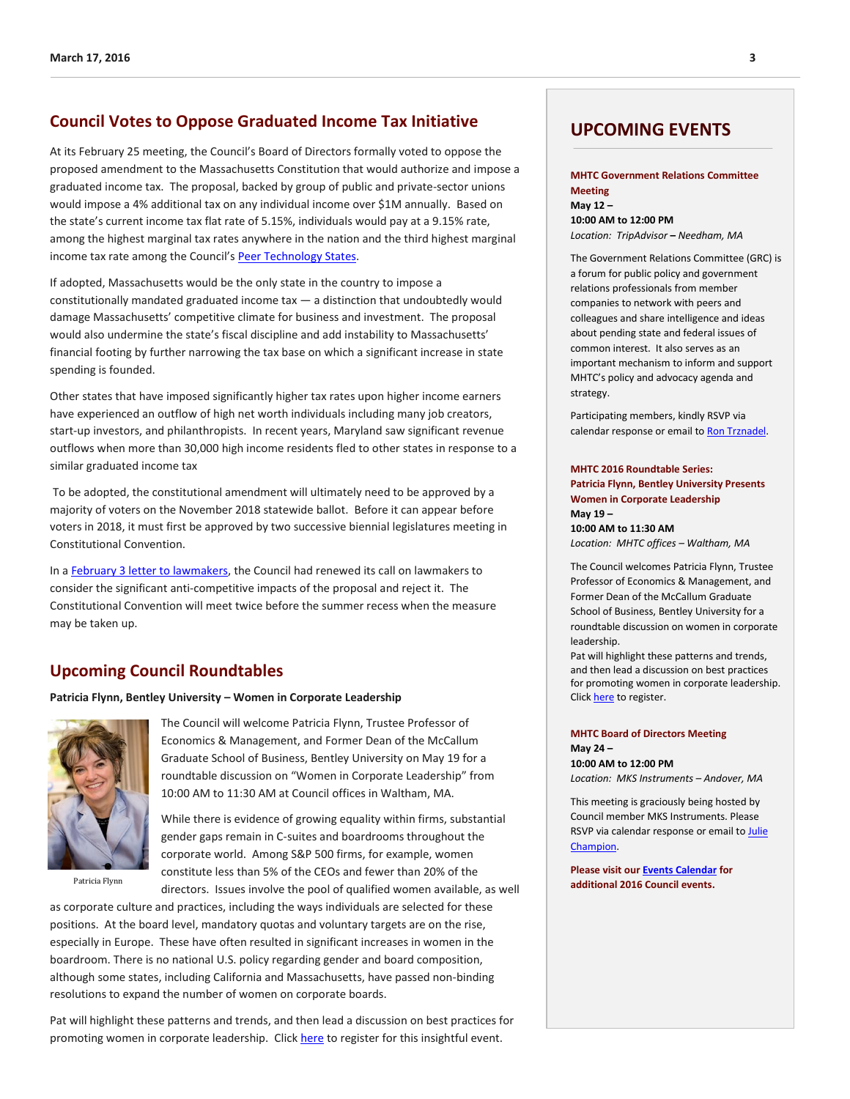#### **Council Votes to Oppose Graduated Income Tax Initiative**

At its February 25 meeting, the Council's Board of Directors formally voted to oppose the proposed amendment to the Massachusetts Constitution that would authorize and impose a graduated income tax. The proposal, backed by group of public and private-sector unions would impose a 4% additional tax on any individual income over \$1M annually. Based on the state's current income tax flat rate of 5.15%, individuals would pay at a 9.15% rate, among the highest marginal tax rates anywhere in the nation and the third highest marginal income tax rate among the Council's [Peer Technology States.](http://matters.mhtc.org/about)

If adopted, Massachusetts would be the only state in the country to impose a constitutionally mandated graduated income tax — a distinction that undoubtedly would damage Massachusetts' competitive climate for business and investment. The proposal would also undermine the state's fiscal discipline and add instability to Massachusetts' financial footing by further narrowing the tax base on which a significant increase in state spending is founded.

Other states that have imposed significantly higher tax rates upon higher income earners have experienced an outflow of high net worth individuals including many job creators, start-up investors, and philanthropists. In recent years, Maryland saw significant revenue outflows when more than 30,000 high income residents fled to other states in response to a similar graduated income tax

To be adopted, the constitutional amendment will ultimately need to be approved by a majority of voters on the November 2018 statewide ballot. Before it can appear before voters in 2018, it must first be approved by two successive biennial legislatures meeting in Constitutional Convention.

In [a February 3 letter to lawmakers,](http://www.mhtc.org/wp-content/uploads/2016/03/MHTC_Letter-to-House-re-Graduated-Income-Tax-2.3.16-FINAL.pdf) the Council had renewed its call on lawmakers to consider the significant anti-competitive impacts of the proposal and reject it. The Constitutional Convention will meet twice before the summer recess when the measure may be taken up.

## **Upcoming Council Roundtables**

**Patricia Flynn, Bentley University – Women in Corporate Leadership**



The Council will welcome Patricia Flynn, Trustee Professor of Economics & Management, and Former Dean of the McCallum Graduate School of Business, Bentley University on May 19 for a roundtable discussion on "Women in Corporate Leadership" from 10:00 AM to 11:30 AM at Council offices in Waltham, MA.

While there is evidence of growing equality within firms, substantial gender gaps remain in C-suites and boardrooms throughout the corporate world. Among S&P 500 firms, for example, women constitute less than 5% of the CEOs and fewer than 20% of the Patricia Flynn directors. Issues involve the pool of qualified women available, as well **additional 2016 Council events.** 

as corporate culture and practices, including the ways individuals are selected for these positions. At the board level, mandatory quotas and voluntary targets are on the rise, especially in Europe. These have often resulted in significant increases in women in the boardroom. There is no national U.S. policy regarding gender and board composition, although some states, including California and Massachusetts, have passed non-binding resolutions to expand the number of women on corporate boards.

Pat will highlight these patterns and trends, and then lead a discussion on best practices for promoting women in corporate leadership. Click [here](http://mhtc-2016-roundtable-flynn-05192016.eventbrite.com/) to register for this insightful event.

## **UPCOMING EVENTS**

#### **MHTC Government Relations Committee Meeting May 12 – 10:00 AM to 12:00 PM**

*Location: TripAdvisor* **–** *Needham, MA*

The Government Relations Committee (GRC) is a forum for public policy and government relations professionals from member companies to network with peers and colleagues and share intelligence and ideas about pending state and federal issues of common interest. It also serves as an important mechanism to inform and support MHTC's policy and advocacy agenda and

Participating members, kindly RSVP via calendar response or email t[o Ron Trznadel.](http://mail%20to:%20ron@mhtc.org/)

strategy.

#### **MHTC 2016 Roundtable Series: Patricia Flynn, Bentley University Presents Women in Corporate Leadership May 19 –**

**10:00 AM to 11:30 AM** *Location: MHTC offices – Waltham, MA*

The Council welcomes Patricia Flynn, Trustee Professor of Economics & Management, and Former Dean of the McCallum Graduate School of Business, Bentley University for a roundtable discussion on women in corporate leadership.

Pat will highlight these patterns and trends, and then lead a discussion on best practices for promoting women in corporate leadership. Clic[k here](http://mhtc-2016-roundtable-flynn-05192016.eventbrite.com/) to register.

#### **MHTC Board of Directors Meeting May 24 – 10:00 AM to 12:00 PM**

*Location: MKS Instruments – Andover, MA*

This meeting is graciously being hosted by Council member MKS Instruments. Please RSVP via calendar response or email to Julie [Champion.](mailto:mail%20to:%20julie@mhtc.org)

**Please visit ou[r Events Calendar](http://www.mhtc.org/events/mhtc-events-calendar/) for**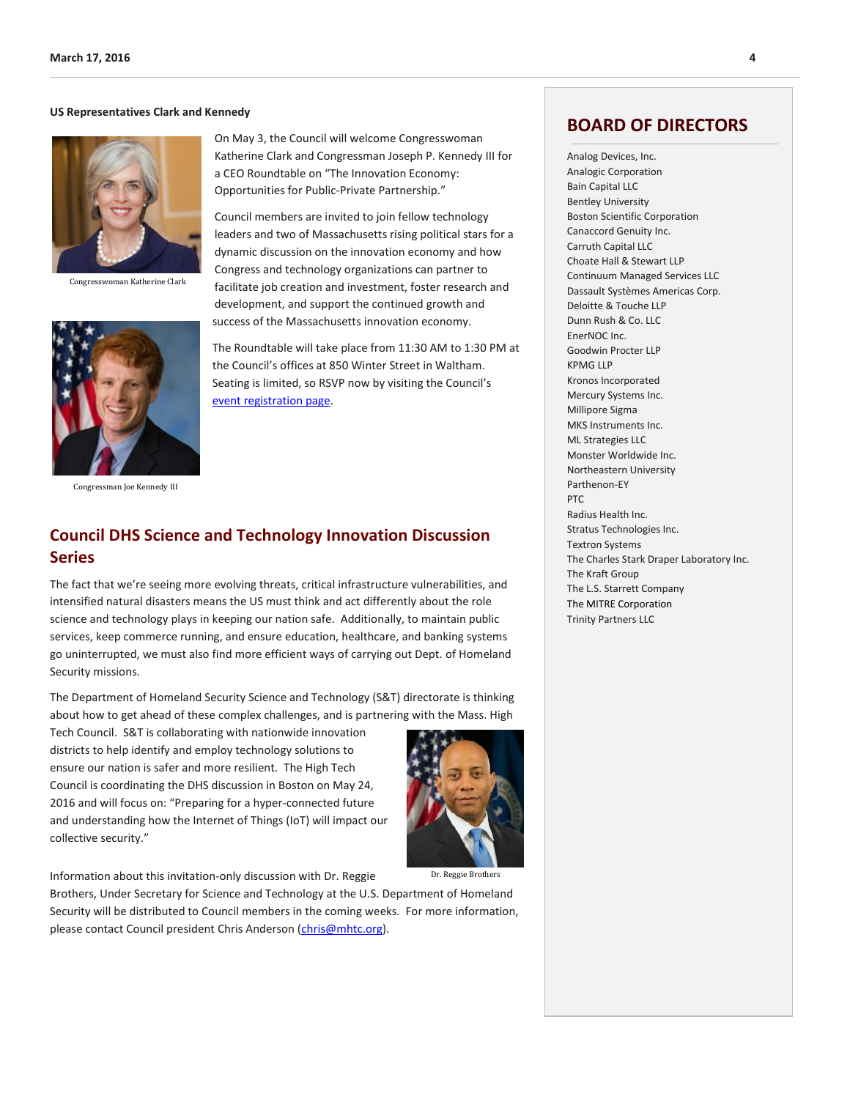#### **US Representatives Clark and Kennedy**



Congresswoman Katherine Clark



Congressman Joe Kennedy III

On May 3, the Council will welcome Congresswoman Katherine Clark and Congressman Joseph P. Kennedy III for a CEO Roundtable on "The Innovation Economy: Opportunities for Public-Private Partnership."

Council members are invited to join fellow technology leaders and two of Massachusetts rising political stars for a dynamic discussion on the innovation economy and how Congress and technology organizations can partner to facilitate job creation and investment, foster research and development, and support the continued growth and success of the Massachusetts innovation economy.

The Roundtable will take place from 11:30 AM to 1:30 PM at the Council's offices at 850 Winter Street in Waltham. Seating is limited, so RSVP now by visiting the Council's [event registration page.](https://mhtc-2016-roundtable-clark-kennedy-05032016.eventbrite.com/)

# **Council DHS Science and Technology Innovation Discussion Series**

The fact that we're seeing more evolving threats, critical infrastructure vulnerabilities, and intensified natural disasters means the US must think and act differently about the role science and technology plays in keeping our nation safe. Additionally, to maintain public services, keep commerce running, and ensure education, healthcare, and banking systems go uninterrupted, we must also find more efficient ways of carrying out Dept. of Homeland Security missions.

The Department of Homeland Security Science and Technology (S&T) directorate is thinking about how to get ahead of these complex challenges, and is partnering with the Mass. High

Tech Council. S&T is collaborating with nationwide innovation districts to help identify and employ technology solutions to ensure our nation is safer and more resilient. The High Tech Council is coordinating the DHS discussion in Boston on May 24, 2016 and will focus on: "Preparing for a hyper-connected future and understanding how the Internet of Things (IoT) will impact our collective security."



Information about this invitation-only discussion with Dr. Reggie

Brothers, Under Secretary for Science and Technology at the U.S. Department of Homeland Security will be distributed to Council members in the coming weeks. For more information, please contact Council president Chris Anderson [\(chris@mhtc.org\)](mailto:chris@mhtc.org).

## **BOARD OF DIRECTORS**

Analog Devices, Inc. Analogic Corporation Bain Capital LLC Bentley University Boston Scientific Corporation Canaccord Genuity Inc. Carruth Capital LLC Choate Hall & Stewart LLP Continuum Managed Services LLC Dassault Systèmes Americas Corp. Deloitte & Touche LLP Dunn Rush & Co. LLC EnerNOC Inc. Goodwin Procter LLP KPMG LLP Kronos Incorporated Mercury Systems Inc. Millipore Sigma MKS Instruments Inc. ML Strategies LLC Monster Worldwide Inc. Northeastern University Parthenon-EY PTC Radius Health Inc. Stratus Technologies Inc. Textron Systems The Charles Stark Draper Laboratory Inc. The Kraft Group The L.S. Starrett Company The MITRE Corporation Trinity Partners LLC